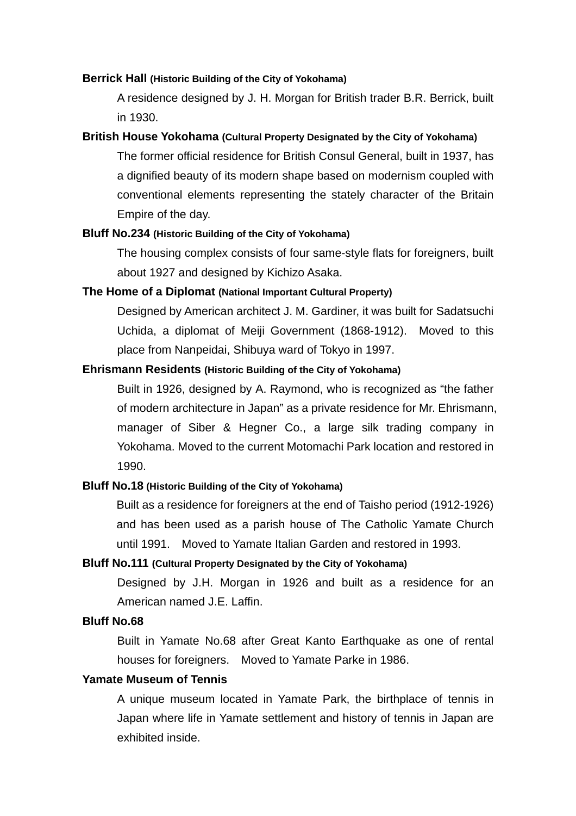#### **Berrick Hall (Historic Building of the City of Yokohama)**

A residence designed by J. H. Morgan for British trader B.R. Berrick, built in 1930.

#### **British House Yokohama (Cultural Property Designated by the City of Yokohama)**

The former official residence for British Consul General, built in 1937, has a dignified beauty of its modern shape based on modernism coupled with conventional elements representing the stately character of the Britain Empire of the day.

#### **Bluff No.234 (Historic Building of the City of Yokohama)**

The housing complex consists of four same-style flats for foreigners, built about 1927 and designed by Kichizo Asaka.

#### **The Home of a Diplomat (National Important Cultural Property)**

Designed by American architect J. M. Gardiner, it was built for Sadatsuchi Uchida, a diplomat of Meiji Government (1868-1912). Moved to this place from Nanpeidai, Shibuya ward of Tokyo in 1997.

#### **Ehrismann Residents (Historic Building of the City of Yokohama)**

Built in 1926, designed by A. Raymond, who is recognized as "the father of modern architecture in Japan" as a private residence for Mr. Ehrismann, manager of Siber & Hegner Co., a large silk trading company in Yokohama. Moved to the current Motomachi Park location and restored in 1990.

#### **Bluff No.18 (Historic Building of the City of Yokohama)**

Built as a residence for foreigners at the end of Taisho period (1912-1926) and has been used as a parish house of The Catholic Yamate Church until 1991. Moved to Yamate Italian Garden and restored in 1993.

#### **Bluff No.111 (Cultural Property Designated by the City of Yokohama)**

Designed by J.H. Morgan in 1926 and built as a residence for an American named J.E. Laffin.

## **Bluff No.68**

Built in Yamate No.68 after Great Kanto Earthquake as one of rental houses for foreigners. Moved to Yamate Parke in 1986.

# **Yamate Museum of Tennis**

A unique museum located in Yamate Park, the birthplace of tennis in Japan where life in Yamate settlement and history of tennis in Japan are exhibited inside.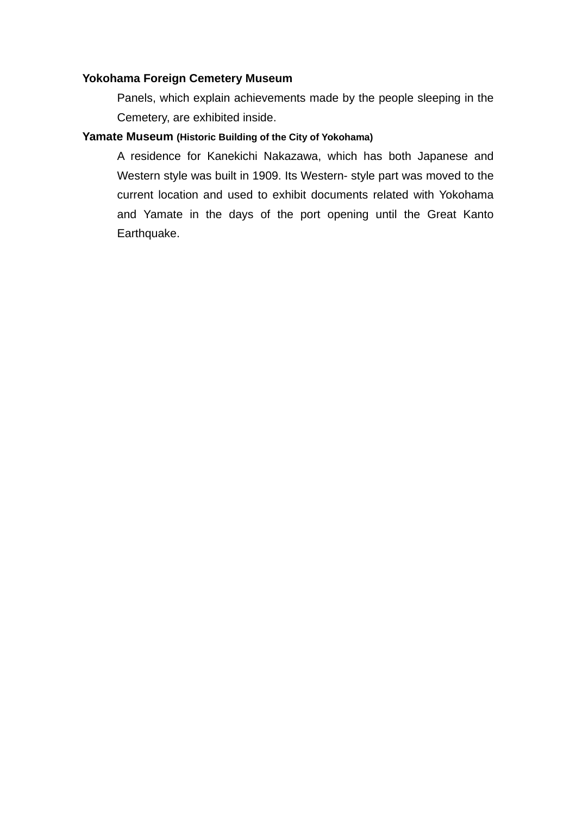#### **Yokohama Foreign Cemetery Museum**

Panels, which explain achievements made by the people sleeping in the Cemetery, are exhibited inside.

#### **Yamate Museum (Historic Building of the City of Yokohama)**

A residence for Kanekichi Nakazawa, which has both Japanese and Western style was built in 1909. Its Western- style part was moved to the current location and used to exhibit documents related with Yokohama and Yamate in the days of the port opening until the Great Kanto Earthquake.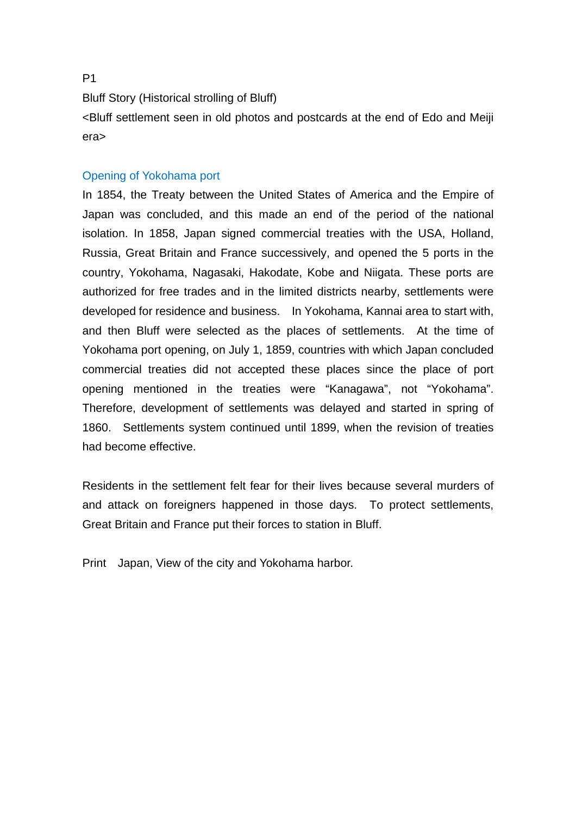Bluff Story (Historical strolling of Bluff)

<Bluff settlement seen in old photos and postcards at the end of Edo and Meiji era>

#### Opening of Yokohama port

In 1854, the Treaty between the United States of America and the Empire of Japan was concluded, and this made an end of the period of the national isolation. In 1858, Japan signed commercial treaties with the USA, Holland, Russia, Great Britain and France successively, and opened the 5 ports in the country, Yokohama, Nagasaki, Hakodate, Kobe and Niigata. These ports are authorized for free trades and in the limited districts nearby, settlements were developed for residence and business. In Yokohama, Kannai area to start with, and then Bluff were selected as the places of settlements. At the time of Yokohama port opening, on July 1, 1859, countries with which Japan concluded commercial treaties did not accepted these places since the place of port opening mentioned in the treaties were "Kanagawa", not "Yokohama". Therefore, development of settlements was delayed and started in spring of 1860. Settlements system continued until 1899, when the revision of treaties had become effective.

Residents in the settlement felt fear for their lives because several murders of and attack on foreigners happened in those days. To protect settlements, Great Britain and France put their forces to station in Bluff.

Print Japan, View of the city and Yokohama harbor.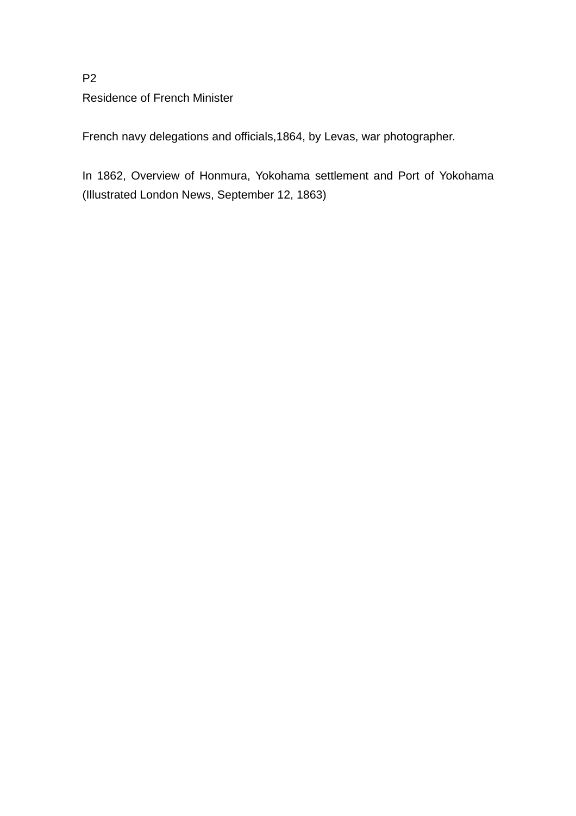# P2 Residence of French Minister

French navy delegations and officials,1864, by Levas, war photographer.

In 1862, Overview of Honmura, Yokohama settlement and Port of Yokohama (Illustrated London News, September 12, 1863)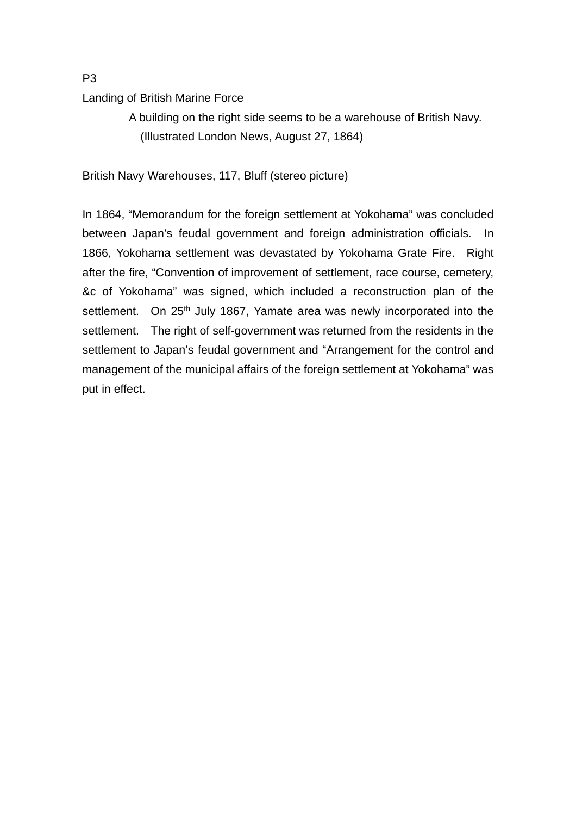# Landing of British Marine Force

 A building on the right side seems to be a warehouse of British Navy. (Illustrated London News, August 27, 1864)

British Navy Warehouses, 117, Bluff (stereo picture)

In 1864, "Memorandum for the foreign settlement at Yokohama" was concluded between Japan's feudal government and foreign administration officials. In 1866, Yokohama settlement was devastated by Yokohama Grate Fire. Right after the fire, "Convention of improvement of settlement, race course, cemetery, &c of Yokohama" was signed, which included a reconstruction plan of the settlement. On 25<sup>th</sup> July 1867, Yamate area was newly incorporated into the settlement. The right of self-government was returned from the residents in the settlement to Japan's feudal government and "Arrangement for the control and management of the municipal affairs of the foreign settlement at Yokohama" was put in effect.

P3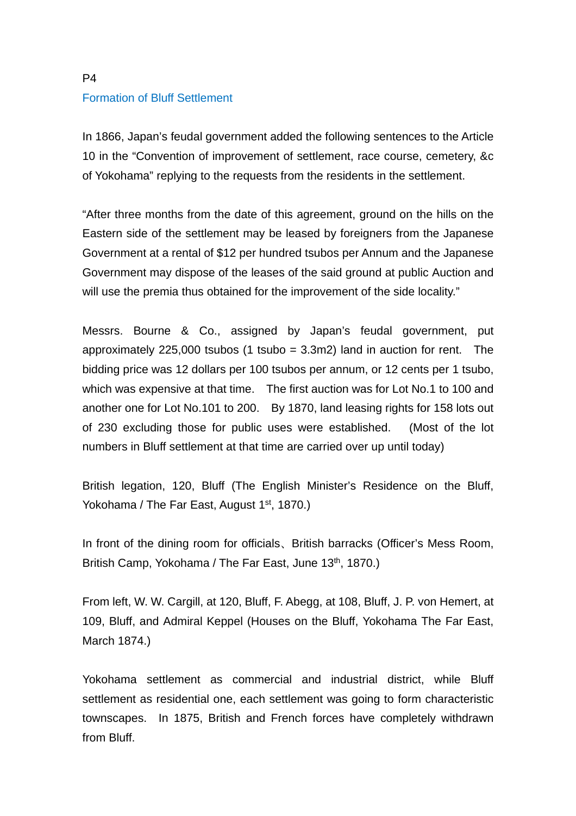# P4 Formation of Bluff Settlement

In 1866, Japan's feudal government added the following sentences to the Article 10 in the "Convention of improvement of settlement, race course, cemetery, &c of Yokohama" replying to the requests from the residents in the settlement.

"After three months from the date of this agreement, ground on the hills on the Eastern side of the settlement may be leased by foreigners from the Japanese Government at a rental of \$12 per hundred tsubos per Annum and the Japanese Government may dispose of the leases of the said ground at public Auction and will use the premia thus obtained for the improvement of the side locality."

Messrs. Bourne & Co., assigned by Japan's feudal government, put approximately 225,000 tsubos (1 tsubo =  $3.3$ m2) land in auction for rent. The bidding price was 12 dollars per 100 tsubos per annum, or 12 cents per 1 tsubo, which was expensive at that time. The first auction was for Lot No.1 to 100 and another one for Lot No.101 to 200. By 1870, land leasing rights for 158 lots out of 230 excluding those for public uses were established. (Most of the lot numbers in Bluff settlement at that time are carried over up until today)

British legation, 120, Bluff (The English Minister's Residence on the Bluff, Yokohama / The Far East, August 1<sup>st</sup>, 1870.)

In front of the dining room for officials、British barracks (Officer's Mess Room, British Camp, Yokohama / The Far East, June 13<sup>th</sup>, 1870.)

From left, W. W. Cargill, at 120, Bluff, F. Abegg, at 108, Bluff, J. P. von Hemert, at 109, Bluff, and Admiral Keppel (Houses on the Bluff, Yokohama The Far East, March 1874.)

Yokohama settlement as commercial and industrial district, while Bluff settlement as residential one, each settlement was going to form characteristic townscapes. In 1875, British and French forces have completely withdrawn from Bluff.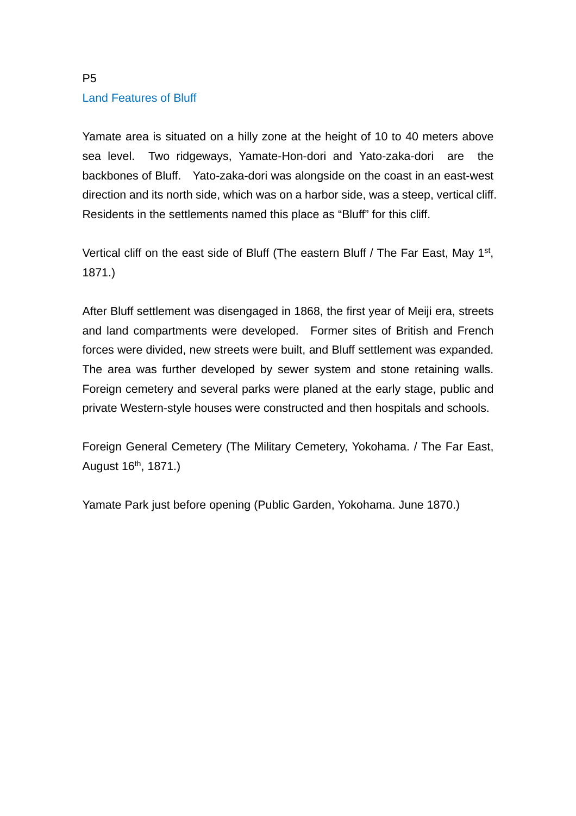# P5 Land Features of Bluff

Yamate area is situated on a hilly zone at the height of 10 to 40 meters above sea level. Two ridgeways, Yamate-Hon-dori and Yato-zaka-dori are the backbones of Bluff. Yato-zaka-dori was alongside on the coast in an east-west direction and its north side, which was on a harbor side, was a steep, vertical cliff. Residents in the settlements named this place as "Bluff" for this cliff.

Vertical cliff on the east side of Bluff (The eastern Bluff / The Far East, May 1<sup>st</sup>, 1871.)

After Bluff settlement was disengaged in 1868, the first year of Meiji era, streets and land compartments were developed. Former sites of British and French forces were divided, new streets were built, and Bluff settlement was expanded. The area was further developed by sewer system and stone retaining walls. Foreign cemetery and several parks were planed at the early stage, public and private Western-style houses were constructed and then hospitals and schools.

Foreign General Cemetery (The Military Cemetery, Yokohama. / The Far East, August 16th, 1871.)

Yamate Park just before opening (Public Garden, Yokohama. June 1870.)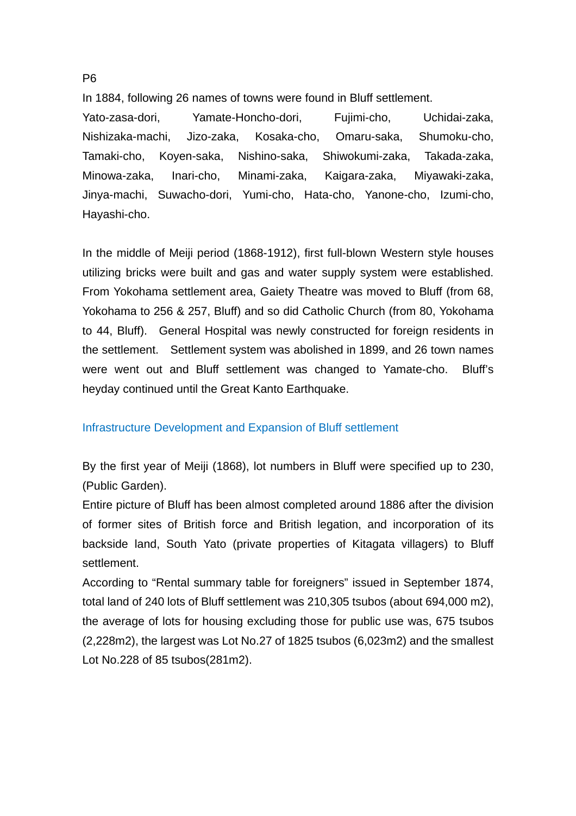In 1884, following 26 names of towns were found in Bluff settlement.

Yato-zasa-dori, Yamate-Honcho-dori, Fujimi-cho, Uchidai-zaka, Nishizaka-machi, Jizo-zaka, Kosaka-cho, Omaru-saka, Shumoku-cho, Tamaki-cho, Koyen-saka, Nishino-saka, Shiwokumi-zaka, Takada-zaka, Minowa-zaka, Inari-cho, Minami-zaka, Kaigara-zaka, Miyawaki-zaka, Jinya-machi, Suwacho-dori, Yumi-cho, Hata-cho, Yanone-cho, Izumi-cho, Hayashi-cho.

In the middle of Meiji period (1868-1912), first full-blown Western style houses utilizing bricks were built and gas and water supply system were established. From Yokohama settlement area, Gaiety Theatre was moved to Bluff (from 68, Yokohama to 256 & 257, Bluff) and so did Catholic Church (from 80, Yokohama to 44, Bluff). General Hospital was newly constructed for foreign residents in the settlement. Settlement system was abolished in 1899, and 26 town names were went out and Bluff settlement was changed to Yamate-cho. Bluff's heyday continued until the Great Kanto Earthquake.

### Infrastructure Development and Expansion of Bluff settlement

By the first year of Meiji (1868), lot numbers in Bluff were specified up to 230, (Public Garden).

Entire picture of Bluff has been almost completed around 1886 after the division of former sites of British force and British legation, and incorporation of its backside land, South Yato (private properties of Kitagata villagers) to Bluff settlement.

According to "Rental summary table for foreigners" issued in September 1874, total land of 240 lots of Bluff settlement was 210,305 tsubos (about 694,000 m2), the average of lots for housing excluding those for public use was, 675 tsubos (2,228m2), the largest was Lot No.27 of 1825 tsubos (6,023m2) and the smallest Lot No.228 of 85 tsubos(281m2).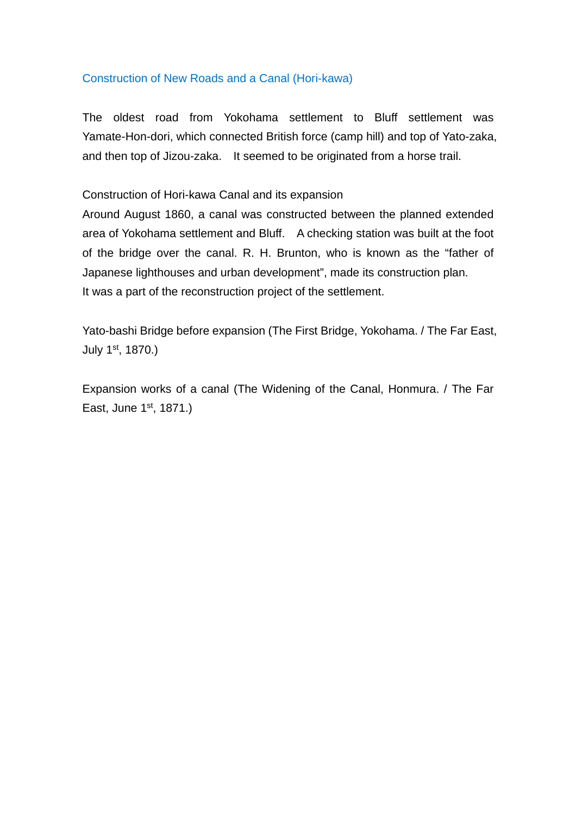## Construction of New Roads and a Canal (Hori-kawa)

The oldest road from Yokohama settlement to Bluff settlement was Yamate-Hon-dori, which connected British force (camp hill) and top of Yato-zaka, and then top of Jizou-zaka. It seemed to be originated from a horse trail.

## Construction of Hori-kawa Canal and its expansion

Around August 1860, a canal was constructed between the planned extended area of Yokohama settlement and Bluff. A checking station was built at the foot of the bridge over the canal. R. H. Brunton, who is known as the "father of Japanese lighthouses and urban development", made its construction plan. It was a part of the reconstruction project of the settlement.

Yato-bashi Bridge before expansion (The First Bridge, Yokohama. / The Far East, July 1st, 1870.)

Expansion works of a canal (The Widening of the Canal, Honmura. / The Far East, June 1st, 1871.)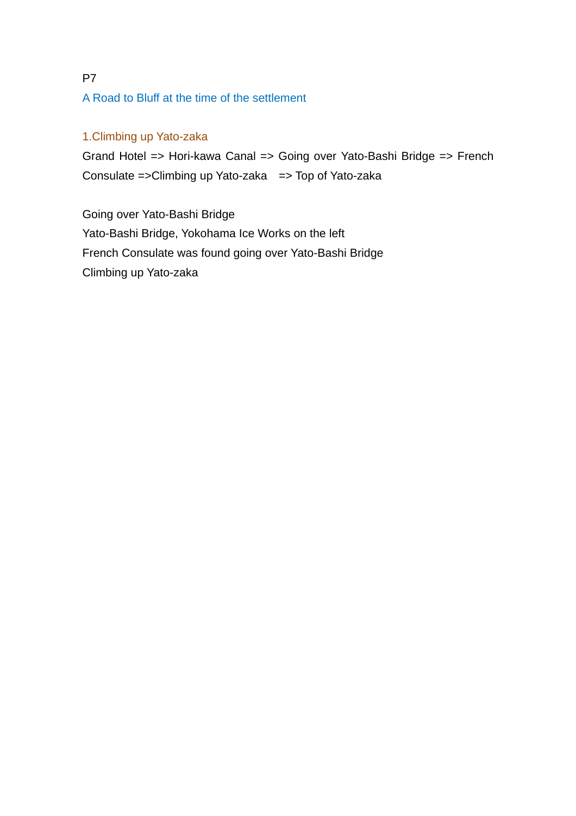# P7 A Road to Bluff at the time of the settlement

# 1.Climbing up Yato-zaka

Grand Hotel => Hori-kawa Canal => Going over Yato-Bashi Bridge => French Consulate =>Climbing up Yato-zaka => Top of Yato-zaka

Going over Yato-Bashi Bridge Yato-Bashi Bridge, Yokohama Ice Works on the left French Consulate was found going over Yato-Bashi Bridge Climbing up Yato-zaka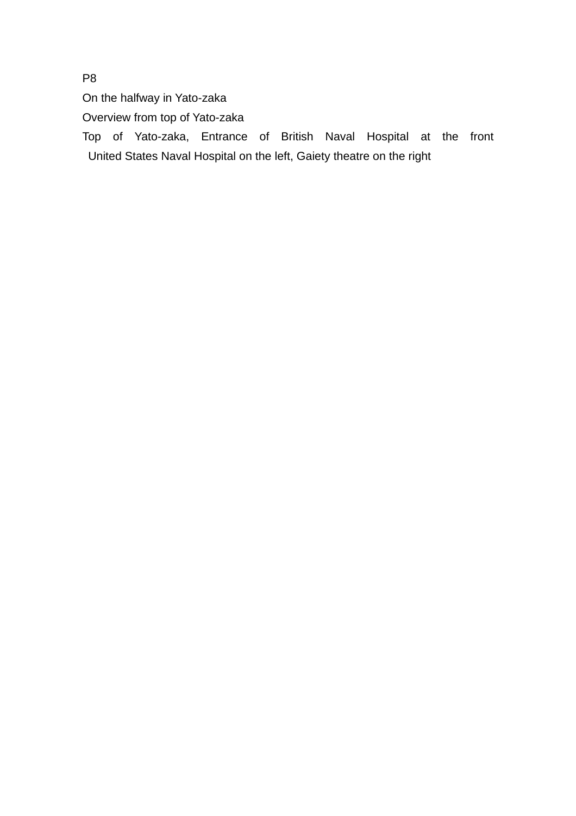On the halfway in Yato-zaka

Overview from top of Yato-zaka

Top of Yato-zaka, Entrance of British Naval Hospital at the front United States Naval Hospital on the left, Gaiety theatre on the right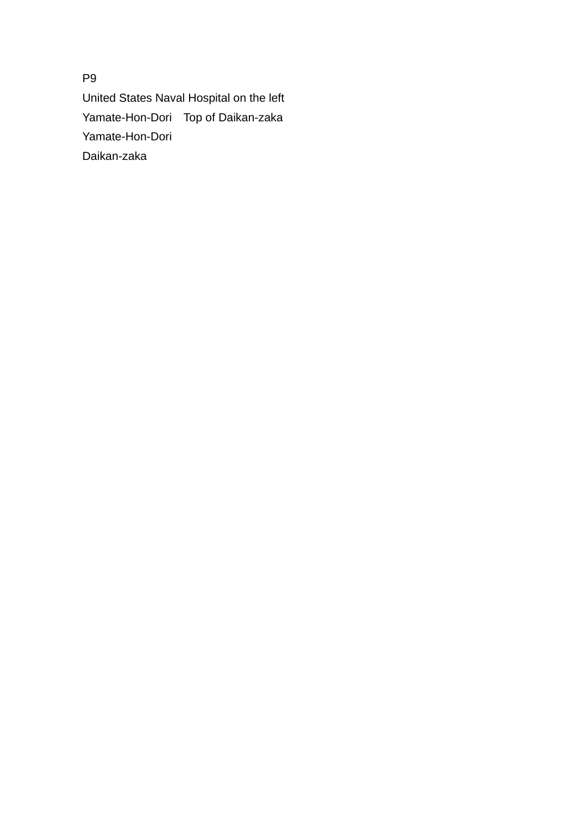United States Naval Hospital on the left Yamate-Hon-Dori Top of Daikan-zaka Yamate-Hon-Dori Daikan-zaka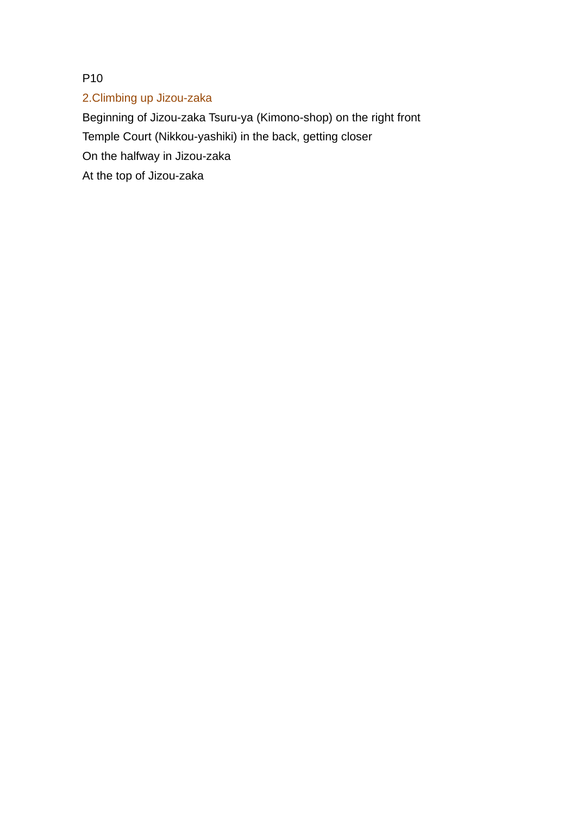# 2.Climbing up Jizou-zaka

Beginning of Jizou-zaka Tsuru-ya (Kimono-shop) on the right front Temple Court (Nikkou-yashiki) in the back, getting closer On the halfway in Jizou-zaka At the top of Jizou-zaka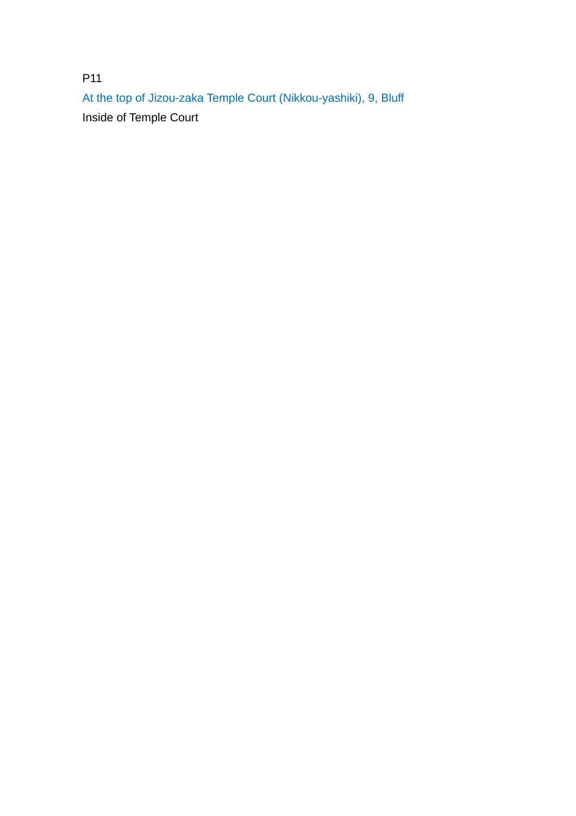P11 At the top of Jizou-zaka Temple Court (Nikkou-yashiki), 9, Bluff Inside of Temple Court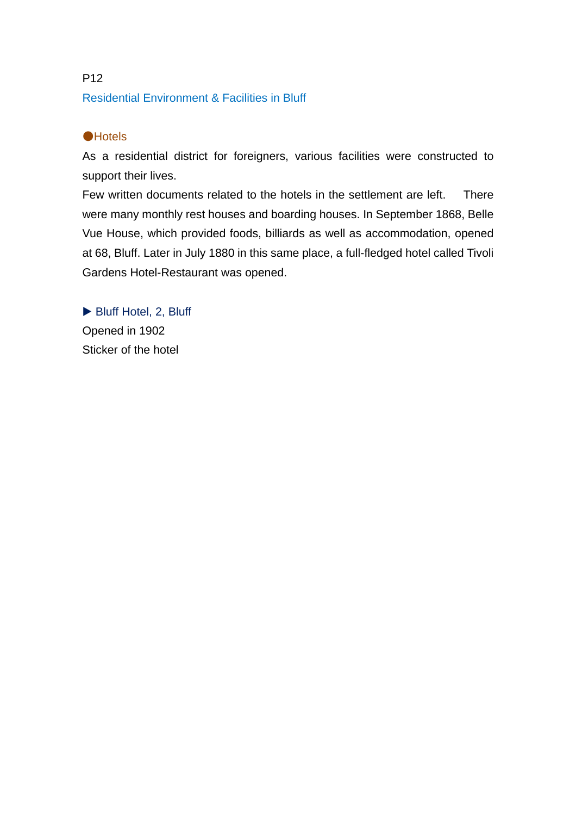# P12 Residential Environment & Facilities in Bluff

# ●Hotels

As a residential district for foreigners, various facilities were constructed to support their lives.

Few written documents related to the hotels in the settlement are left. There were many monthly rest houses and boarding houses. In September 1868, Belle Vue House, which provided foods, billiards as well as accommodation, opened at 68, Bluff. Later in July 1880 in this same place, a full-fledged hotel called Tivoli Gardens Hotel-Restaurant was opened.

▶ Bluff Hotel, 2, Bluff Opened in 1902 Sticker of the hotel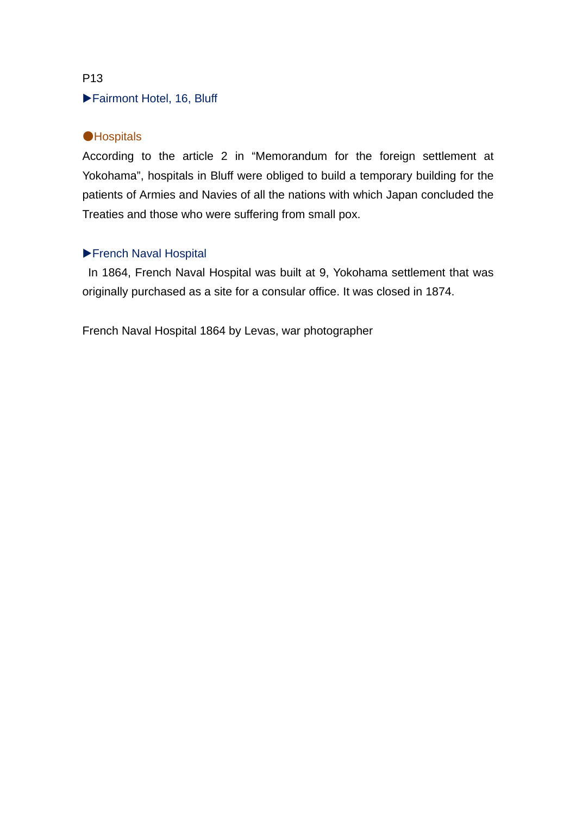# ▶Fairmont Hotel, 16, Bluff

# **•Hospitals**

According to the article 2 in "Memorandum for the foreign settlement at Yokohama", hospitals in Bluff were obliged to build a temporary building for the patients of Armies and Navies of all the nations with which Japan concluded the Treaties and those who were suffering from small pox.

# ▶French Naval Hospital

 In 1864, French Naval Hospital was built at 9, Yokohama settlement that was originally purchased as a site for a consular office. It was closed in 1874.

French Naval Hospital 1864 by Levas, war photographer

#### P13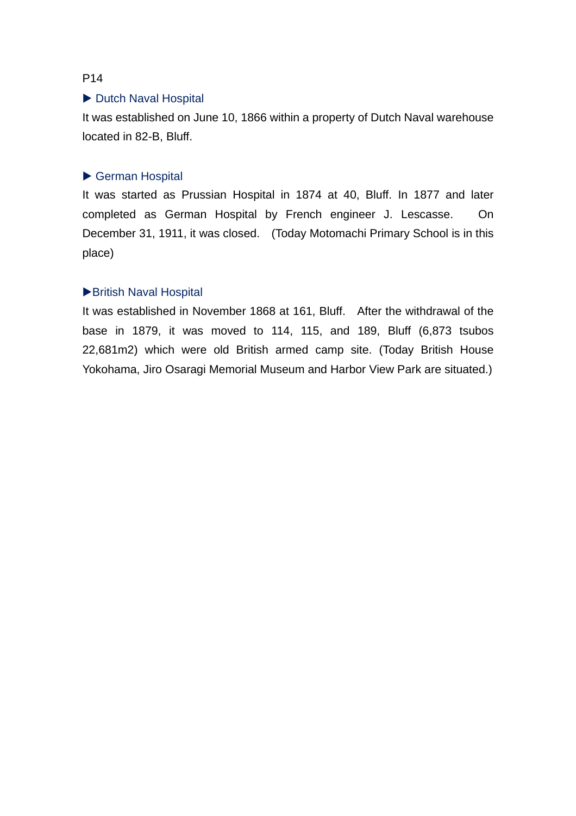#### ▶ Dutch Naval Hospital

It was established on June 10, 1866 within a property of Dutch Naval warehouse located in 82-B, Bluff.

#### ▶ German Hospital

It was started as Prussian Hospital in 1874 at 40, Bluff. In 1877 and later completed as German Hospital by French engineer J. Lescasse. On December 31, 1911, it was closed. (Today Motomachi Primary School is in this place)

#### ▶British Naval Hospital

It was established in November 1868 at 161, Bluff. After the withdrawal of the base in 1879, it was moved to 114, 115, and 189, Bluff (6,873 tsubos 22,681m2) which were old British armed camp site. (Today British House Yokohama, Jiro Osaragi Memorial Museum and Harbor View Park are situated.)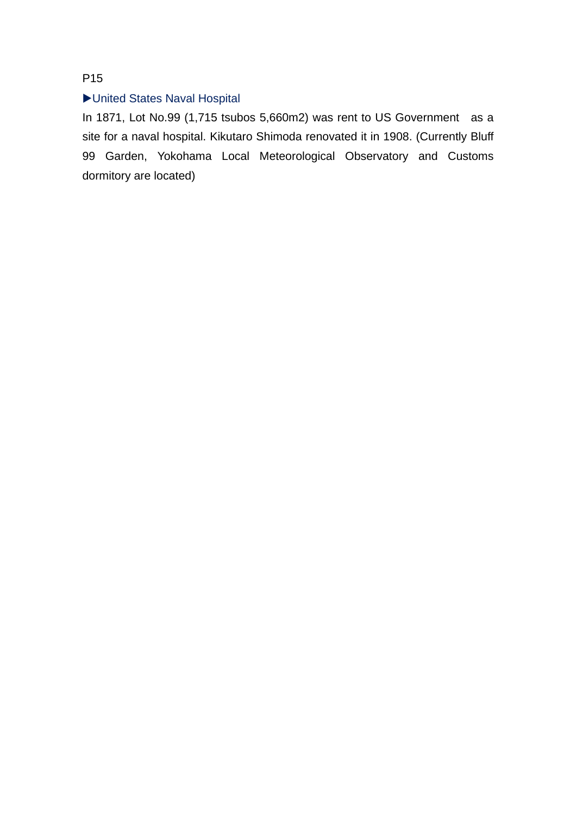# ▶United States Naval Hospital

In 1871, Lot No.99 (1,715 tsubos 5,660m2) was rent to US Government as a site for a naval hospital. Kikutaro Shimoda renovated it in 1908. (Currently Bluff 99 Garden, Yokohama Local Meteorological Observatory and Customs dormitory are located)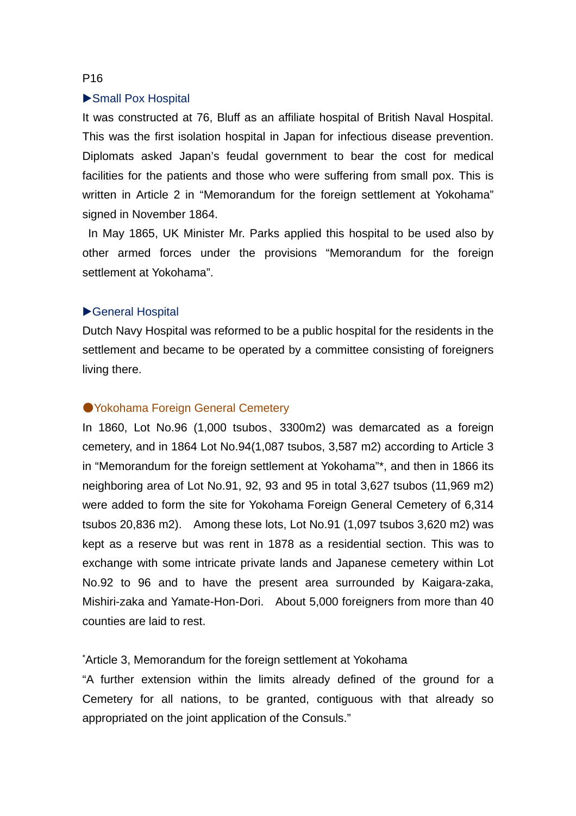#### ▶Small Pox Hospital

It was constructed at 76, Bluff as an affiliate hospital of British Naval Hospital. This was the first isolation hospital in Japan for infectious disease prevention. Diplomats asked Japan's feudal government to bear the cost for medical facilities for the patients and those who were suffering from small pox. This is written in Article 2 in "Memorandum for the foreign settlement at Yokohama" signed in November 1864.

 In May 1865, UK Minister Mr. Parks applied this hospital to be used also by other armed forces under the provisions "Memorandum for the foreign settlement at Yokohama".

#### ▶General Hospital

Dutch Navy Hospital was reformed to be a public hospital for the residents in the settlement and became to be operated by a committee consisting of foreigners living there.

#### ● Yokohama Foreign General Cemetery

In 1860, Lot No.96 (1,000 tsubos、3300m2) was demarcated as a foreign cemetery, and in 1864 Lot No.94(1,087 tsubos, 3,587 m2) according to Article 3 in "Memorandum for the foreign settlement at Yokohama"\*, and then in 1866 its neighboring area of Lot No.91, 92, 93 and 95 in total 3,627 tsubos (11,969 m2) were added to form the site for Yokohama Foreign General Cemetery of 6,314 tsubos 20,836 m2). Among these lots, Lot No.91 (1,097 tsubos 3,620 m2) was kept as a reserve but was rent in 1878 as a residential section. This was to exchange with some intricate private lands and Japanese cemetery within Lot No.92 to 96 and to have the present area surrounded by Kaigara-zaka, Mishiri-zaka and Yamate-Hon-Dori. About 5,000 foreigners from more than 40 counties are laid to rest.

#### \*Article 3, Memorandum for the foreign settlement at Yokohama

"A further extension within the limits already defined of the ground for a Cemetery for all nations, to be granted, contiguous with that already so appropriated on the joint application of the Consuls."

#### P16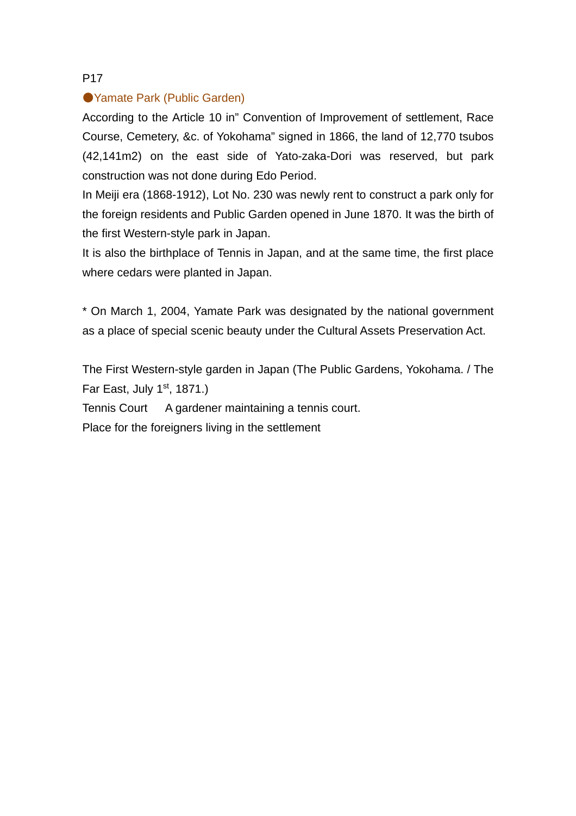# ●Yamate Park (Public Garden)

According to the Article 10 in" Convention of Improvement of settlement, Race Course, Cemetery, &c. of Yokohama" signed in 1866, the land of 12,770 tsubos (42,141m2) on the east side of Yato-zaka-Dori was reserved, but park construction was not done during Edo Period.

In Meiji era (1868-1912), Lot No. 230 was newly rent to construct a park only for the foreign residents and Public Garden opened in June 1870. It was the birth of the first Western-style park in Japan.

It is also the birthplace of Tennis in Japan, and at the same time, the first place where cedars were planted in Japan.

\* On March 1, 2004, Yamate Park was designated by the national government as a place of special scenic beauty under the Cultural Assets Preservation Act.

The First Western-style garden in Japan (The Public Gardens, Yokohama. / The Far East, July  $1<sup>st</sup>$ , 1871.)

Tennis Court A gardener maintaining a tennis court.

Place for the foreigners living in the settlement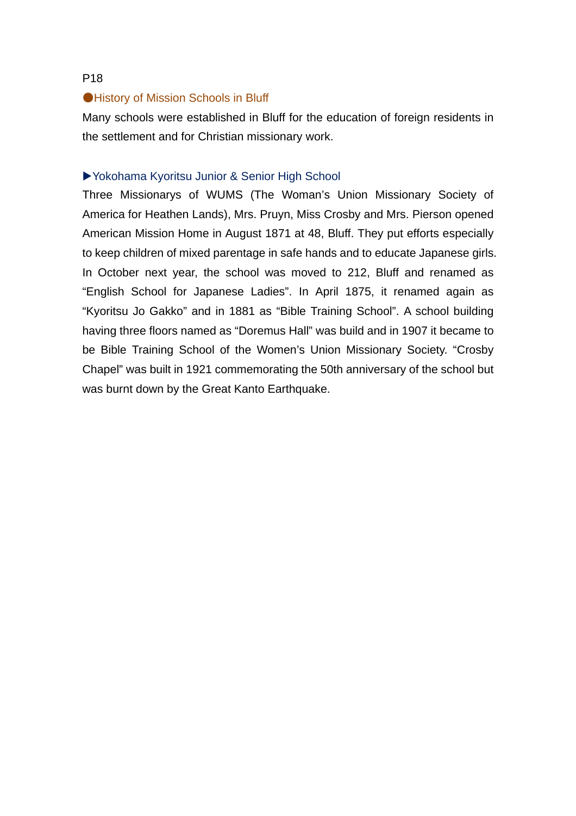#### ●History of Mission Schools in Bluff

Many schools were established in Bluff for the education of foreign residents in the settlement and for Christian missionary work.

#### ▶Yokohama Kyoritsu Junior & Senior High School

Three Missionarys of WUMS (The Woman's Union Missionary Society of America for Heathen Lands), Mrs. Pruyn, Miss Crosby and Mrs. Pierson opened American Mission Home in August 1871 at 48, Bluff. They put efforts especially to keep children of mixed parentage in safe hands and to educate Japanese girls. In October next year, the school was moved to 212, Bluff and renamed as "English School for Japanese Ladies". In April 1875, it renamed again as "Kyoritsu Jo Gakko" and in 1881 as "Bible Training School". A school building having three floors named as "Doremus Hall" was build and in 1907 it became to be Bible Training School of the Women's Union Missionary Society. "Crosby Chapel" was built in 1921 commemorating the 50th anniversary of the school but was burnt down by the Great Kanto Earthquake.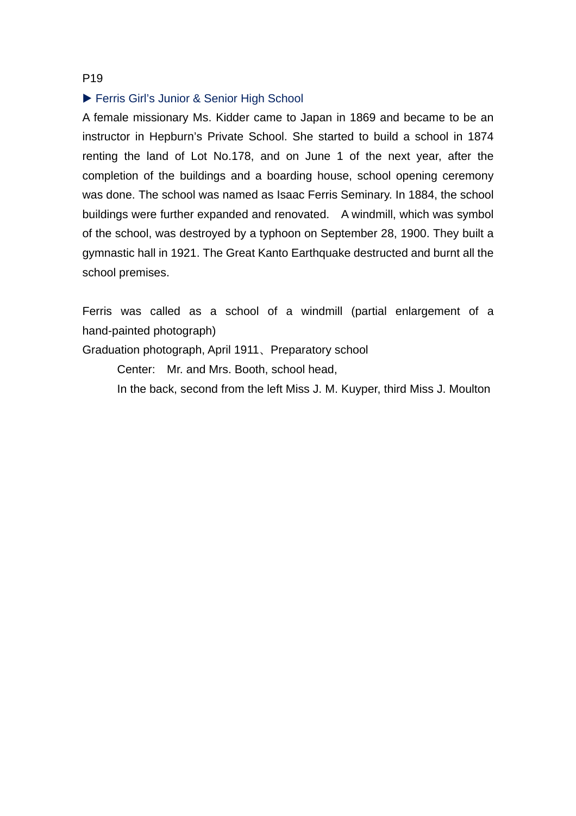#### ▶ Ferris Girl's Junior & Senior High School

A female missionary Ms. Kidder came to Japan in 1869 and became to be an instructor in Hepburn's Private School. She started to build a school in 1874 renting the land of Lot No.178, and on June 1 of the next year, after the completion of the buildings and a boarding house, school opening ceremony was done. The school was named as Isaac Ferris Seminary. In 1884, the school buildings were further expanded and renovated. A windmill, which was symbol of the school, was destroyed by a typhoon on September 28, 1900. They built a gymnastic hall in 1921. The Great Kanto Earthquake destructed and burnt all the school premises.

Ferris was called as a school of a windmill (partial enlargement of a hand-painted photograph)

Graduation photograph, April 1911、Preparatory school

Center: Mr. and Mrs. Booth, school head,

In the back, second from the left Miss J. M. Kuyper, third Miss J. Moulton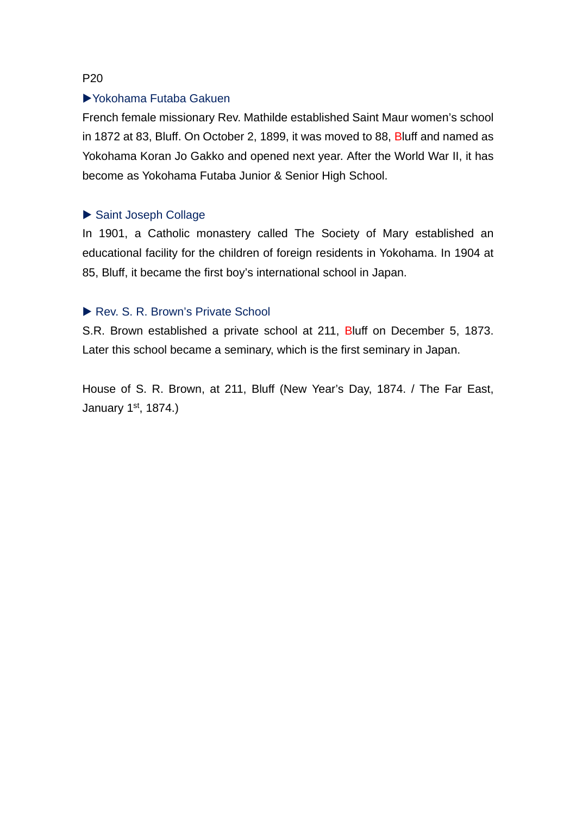## ▶Yokohama Futaba Gakuen

French female missionary Rev. Mathilde established Saint Maur women's school in 1872 at 83, Bluff. On October 2, 1899, it was moved to 88, Bluff and named as Yokohama Koran Jo Gakko and opened next year. After the World War II, it has become as Yokohama Futaba Junior & Senior High School.

# ▶ Saint Joseph Collage

In 1901, a Catholic monastery called The Society of Mary established an educational facility for the children of foreign residents in Yokohama. In 1904 at 85, Bluff, it became the first boy's international school in Japan.

### ▶ Rev. S. R. Brown's Private School

S.R. Brown established a private school at 211, Bluff on December 5, 1873. Later this school became a seminary, which is the first seminary in Japan.

House of S. R. Brown, at 211, Bluff (New Year's Day, 1874. / The Far East, January 1st, 1874.)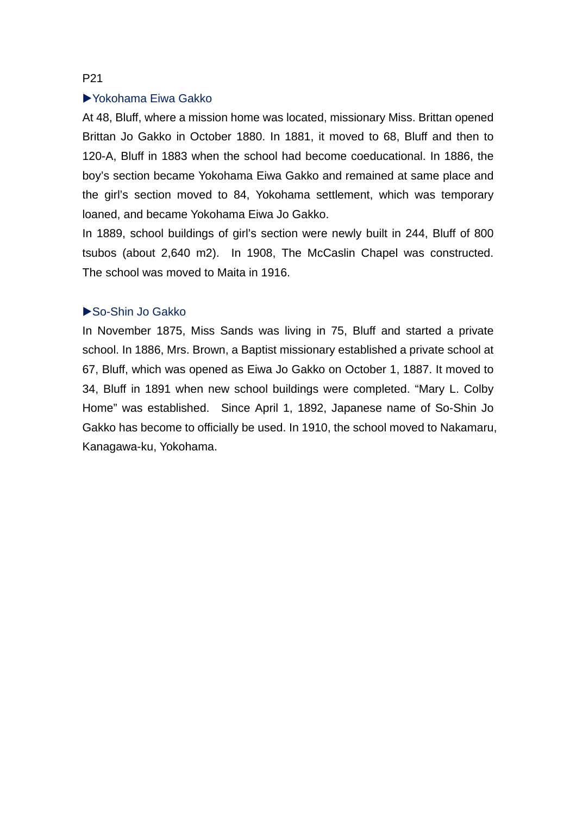# ▶Yokohama Eiwa Gakko

At 48, Bluff, where a mission home was located, missionary Miss. Brittan opened Brittan Jo Gakko in October 1880. In 1881, it moved to 68, Bluff and then to 120-A, Bluff in 1883 when the school had become coeducational. In 1886, the boy's section became Yokohama Eiwa Gakko and remained at same place and the girl's section moved to 84, Yokohama settlement, which was temporary loaned, and became Yokohama Eiwa Jo Gakko.

In 1889, school buildings of girl's section were newly built in 244, Bluff of 800 tsubos (about 2,640 m2). In 1908, The McCaslin Chapel was constructed. The school was moved to Maita in 1916.

# ▶So-Shin Jo Gakko

In November 1875, Miss Sands was living in 75, Bluff and started a private school. In 1886, Mrs. Brown, a Baptist missionary established a private school at 67, Bluff, which was opened as Eiwa Jo Gakko on October 1, 1887. It moved to 34, Bluff in 1891 when new school buildings were completed. "Mary L. Colby Home" was established. Since April 1, 1892, Japanese name of So-Shin Jo Gakko has become to officially be used. In 1910, the school moved to Nakamaru, Kanagawa-ku, Yokohama.

#### P21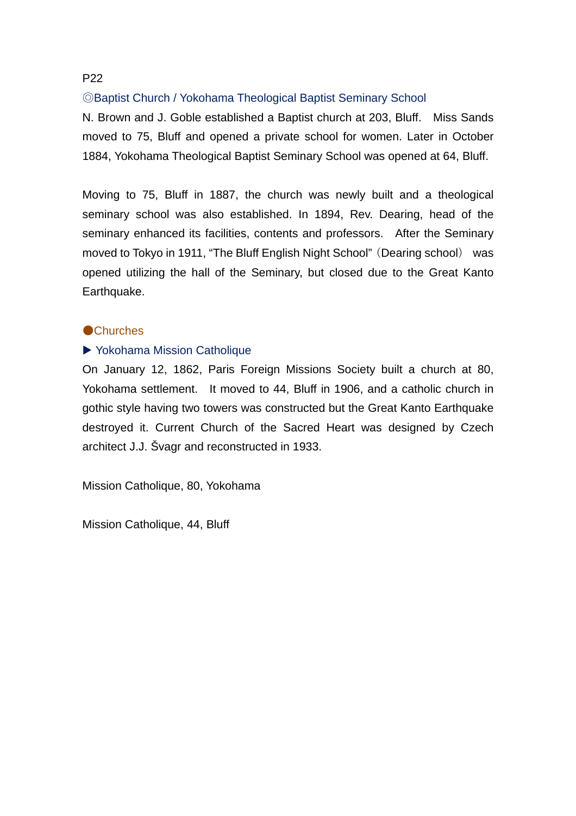# ◎Baptist Church / Yokohama Theological Baptist Seminary School

N. Brown and J. Goble established a Baptist church at 203, Bluff. Miss Sands moved to 75, Bluff and opened a private school for women. Later in October 1884, Yokohama Theological Baptist Seminary School was opened at 64, Bluff.

Moving to 75, Bluff in 1887, the church was newly built and a theological seminary school was also established. In 1894, Rev. Dearing, head of the seminary enhanced its facilities, contents and professors. After the Seminary moved to Tokyo in 1911, "The Bluff English Night School"(Dearing school) was opened utilizing the hall of the Seminary, but closed due to the Great Kanto Earthquake.

#### ●Churches

### ▶ Yokohama Mission Catholique

On January 12, 1862, Paris Foreign Missions Society built a church at 80, Yokohama settlement. It moved to 44, Bluff in 1906, and a catholic church in gothic style having two towers was constructed but the Great Kanto Earthquake destroyed it. Current Church of the Sacred Heart was designed by Czech architect J.J. Švagr and reconstructed in 1933.

Mission Catholique, 80, Yokohama

Mission Catholique, 44, Bluff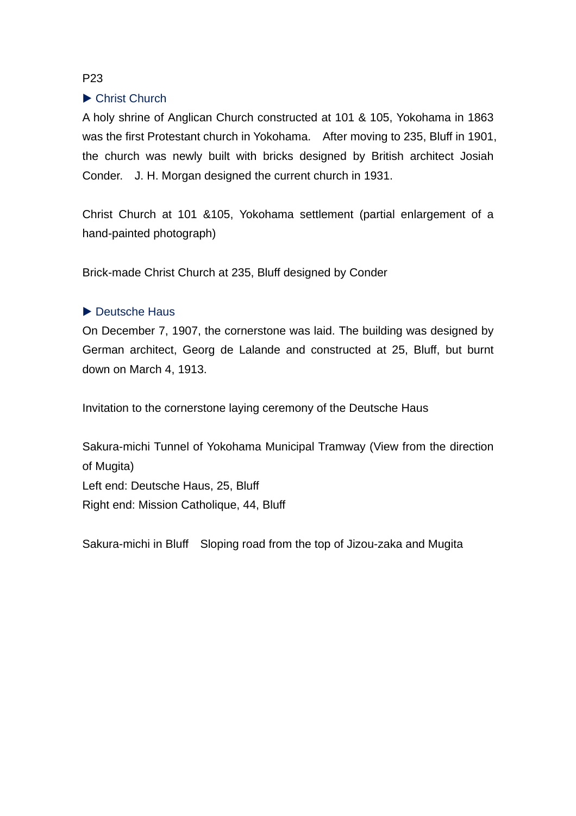# ▶ Christ Church

A holy shrine of Anglican Church constructed at 101 & 105, Yokohama in 1863 was the first Protestant church in Yokohama. After moving to 235, Bluff in 1901, the church was newly built with bricks designed by British architect Josiah Conder. J. H. Morgan designed the current church in 1931.

Christ Church at 101 &105, Yokohama settlement (partial enlargement of a hand-painted photograph)

Brick-made Christ Church at 235, Bluff designed by Conder

# ▶ Deutsche Haus

On December 7, 1907, the cornerstone was laid. The building was designed by German architect, Georg de Lalande and constructed at 25, Bluff, but burnt down on March 4, 1913.

Invitation to the cornerstone laying ceremony of the Deutsche Haus

Sakura-michi Tunnel of Yokohama Municipal Tramway (View from the direction of Mugita) Left end: Deutsche Haus, 25, Bluff Right end: Mission Catholique, 44, Bluff

Sakura-michi in Bluff Sloping road from the top of Jizou-zaka and Mugita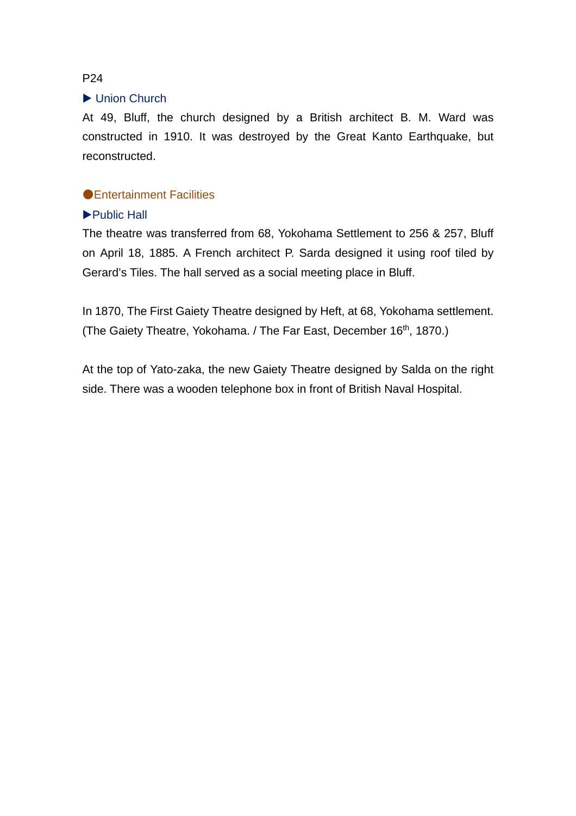#### ▶ Union Church

At 49, Bluff, the church designed by a British architect B. M. Ward was constructed in 1910. It was destroyed by the Great Kanto Earthquake, but reconstructed.

### ●Entertainment Facilities

### ▶Public Hall

The theatre was transferred from 68, Yokohama Settlement to 256 & 257, Bluff on April 18, 1885. A French architect P. Sarda designed it using roof tiled by Gerard's Tiles. The hall served as a social meeting place in Bluff.

In 1870, The First Gaiety Theatre designed by Heft, at 68, Yokohama settlement. (The Gaiety Theatre, Yokohama. / The Far East, December 16<sup>th</sup>, 1870.)

At the top of Yato-zaka, the new Gaiety Theatre designed by Salda on the right side. There was a wooden telephone box in front of British Naval Hospital.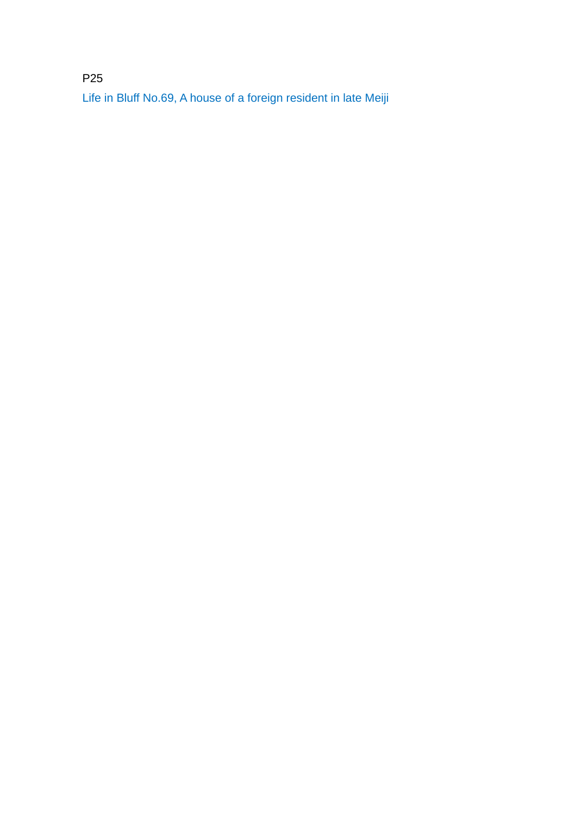P25 Life in Bluff No.69, A house of a foreign resident in late Meiji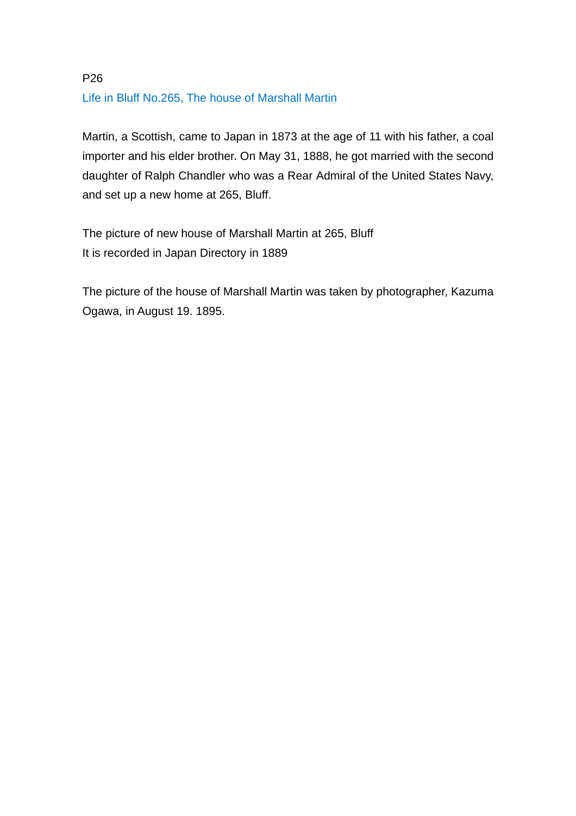# P26 Life in Bluff No.265, The house of Marshall Martin

Martin, a Scottish, came to Japan in 1873 at the age of 11 with his father, a coal importer and his elder brother. On May 31, 1888, he got married with the second daughter of Ralph Chandler who was a Rear Admiral of the United States Navy, and set up a new home at 265, Bluff.

The picture of new house of Marshall Martin at 265, Bluff It is recorded in Japan Directory in 1889

The picture of the house of Marshall Martin was taken by photographer, Kazuma Ogawa, in August 19. 1895.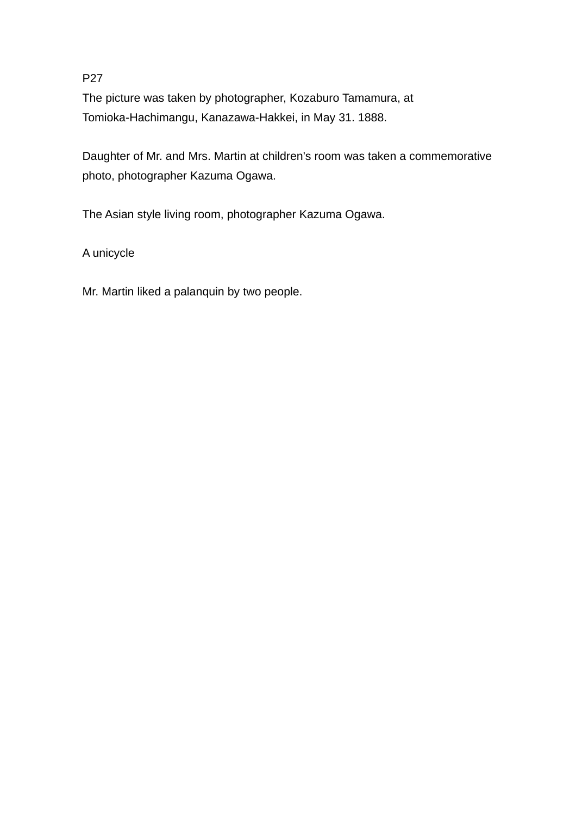The picture was taken by photographer, Kozaburo Tamamura, at Tomioka-Hachimangu, Kanazawa-Hakkei, in May 31. 1888.

Daughter of Mr. and Mrs. Martin at children's room was taken a commemorative photo, photographer Kazuma Ogawa.

The Asian style living room, photographer Kazuma Ogawa.

A unicycle

Mr. Martin liked a palanquin by two people.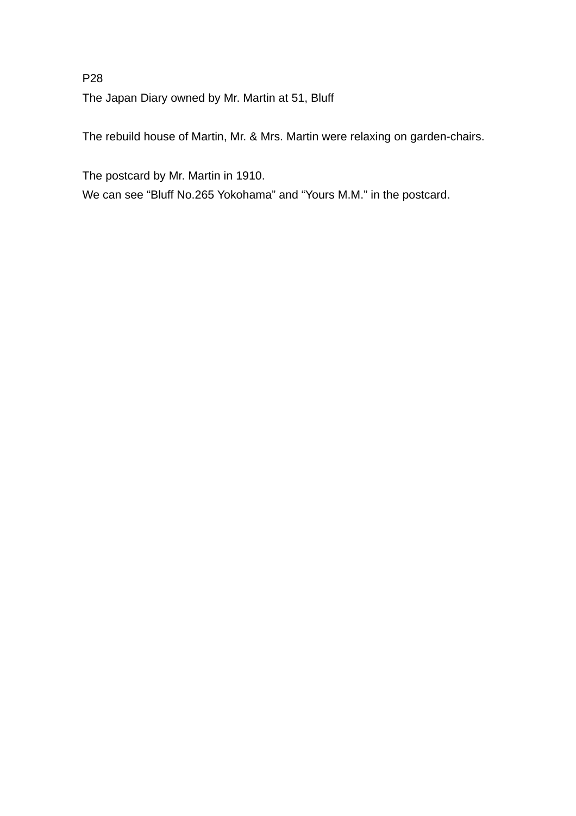P28 The Japan Diary owned by Mr. Martin at 51, Bluff

The rebuild house of Martin, Mr. & Mrs. Martin were relaxing on garden-chairs.

The postcard by Mr. Martin in 1910.

We can see "Bluff No.265 Yokohama" and "Yours M.M." in the postcard.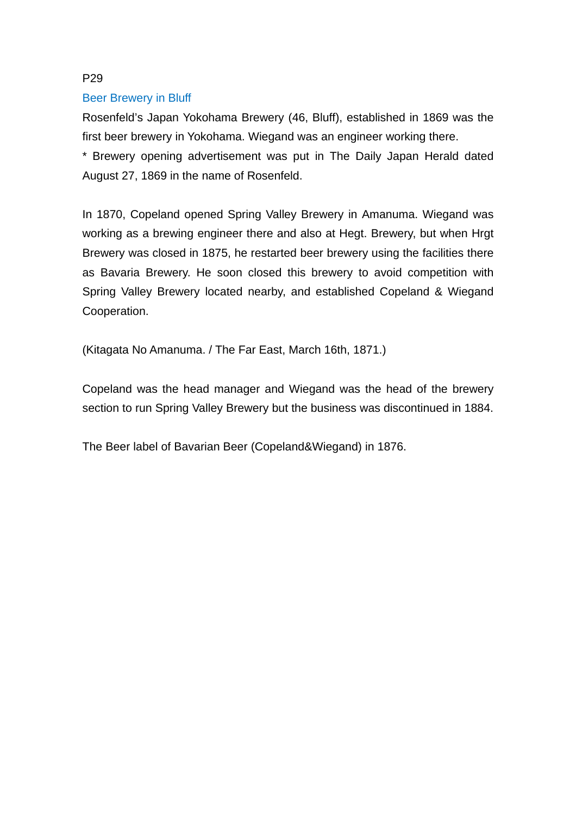#### Beer Brewery in Bluff

Rosenfeld's Japan Yokohama Brewery (46, Bluff), established in 1869 was the first beer brewery in Yokohama. Wiegand was an engineer working there.

\* Brewery opening advertisement was put in The Daily Japan Herald dated August 27, 1869 in the name of Rosenfeld.

In 1870, Copeland opened Spring Valley Brewery in Amanuma. Wiegand was working as a brewing engineer there and also at Hegt. Brewery, but when Hrgt Brewery was closed in 1875, he restarted beer brewery using the facilities there as Bavaria Brewery. He soon closed this brewery to avoid competition with Spring Valley Brewery located nearby, and established Copeland & Wiegand Cooperation.

(Kitagata No Amanuma. / The Far East, March 16th, 1871.)

Copeland was the head manager and Wiegand was the head of the brewery section to run Spring Valley Brewery but the business was discontinued in 1884.

The Beer label of Bavarian Beer (Copeland&Wiegand) in 1876.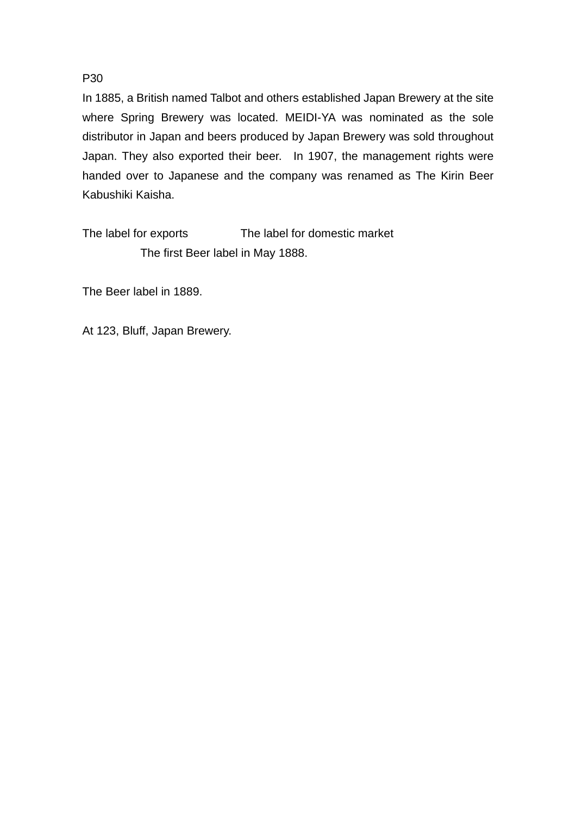In 1885, a British named Talbot and others established Japan Brewery at the site where Spring Brewery was located. MEIDI-YA was nominated as the sole distributor in Japan and beers produced by Japan Brewery was sold throughout Japan. They also exported their beer. In 1907, the management rights were handed over to Japanese and the company was renamed as The Kirin Beer Kabushiki Kaisha.

The label for exports The label for domestic market The first Beer label in May 1888.

The Beer label in 1889.

At 123, Bluff, Japan Brewery.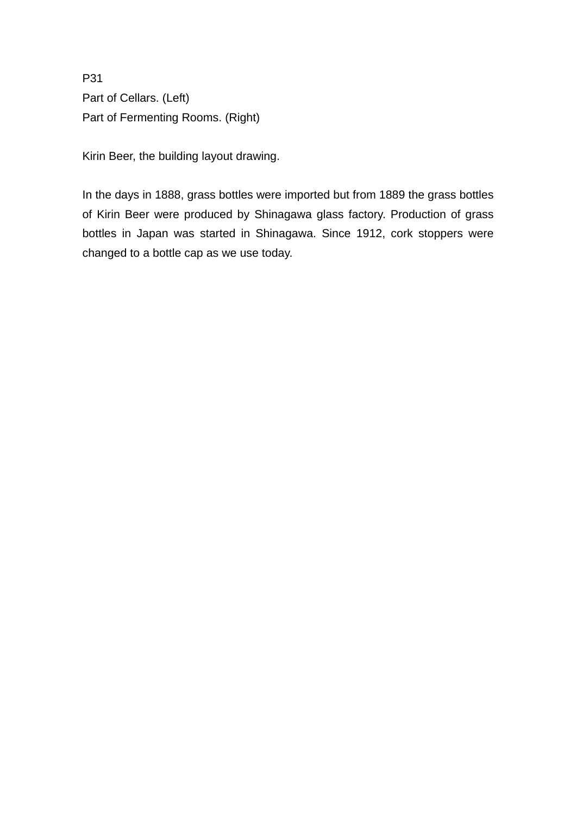P31 Part of Cellars. (Left) Part of Fermenting Rooms. (Right)

Kirin Beer, the building layout drawing.

In the days in 1888, grass bottles were imported but from 1889 the grass bottles of Kirin Beer were produced by Shinagawa glass factory. Production of grass bottles in Japan was started in Shinagawa. Since 1912, cork stoppers were changed to a bottle cap as we use today.